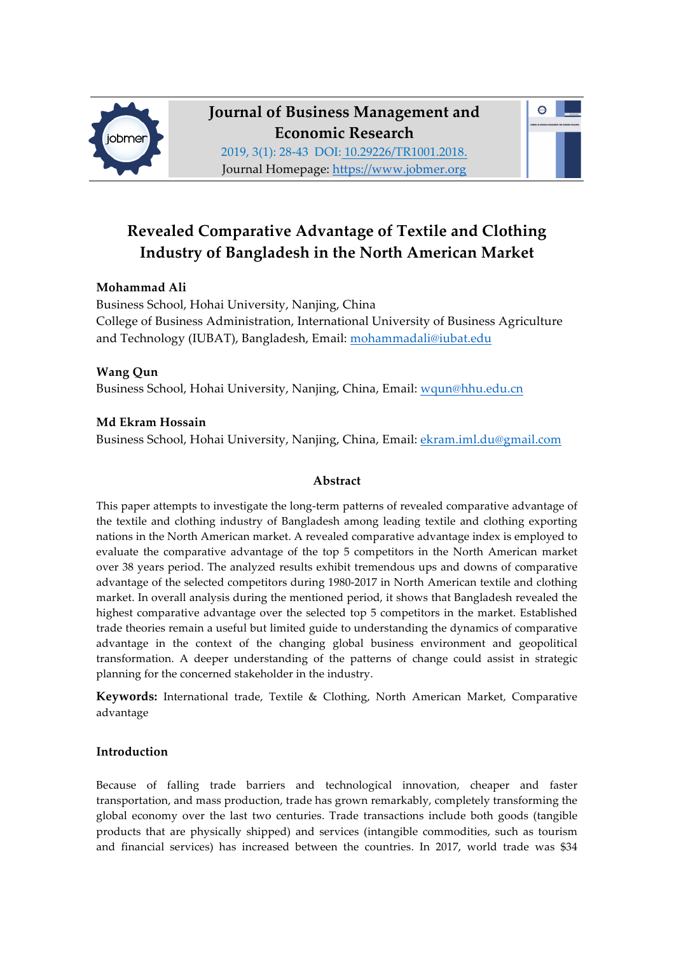

**Journal of Business Management and Economic Research** 2019, 3(1): 28-43 DOI: 10.29226/TR1001.2018.

 $\bullet$ 

Journal Homepage: https://www.jobmer.org

# **Revealed Comparative Advantage of Textile and Clothing Industry of Bangladesh in the North American Market**

## **Mohammad Ali**

Business School, Hohai University, Nanjing, China College of Business Administration, International University of Business Agriculture and Technology (IUBAT), Bangladesh, Email: mohammadali@iubat.edu

## **Wang Qun** Business School, Hohai University, Nanjing, China, Email: wqun@hhu.edu.cn

## **Md Ekram Hossain**

Business School, Hohai University, Nanjing, China, Email: ekram.iml.du@gmail.com

### **Abstract**

This paper attempts to investigate the long-term patterns of revealed comparative advantage of the textile and clothing industry of Bangladesh among leading textile and clothing exporting nations in the North American market. A revealed comparative advantage index is employed to evaluate the comparative advantage of the top 5 competitors in the North American market over 38 years period. The analyzed results exhibit tremendous ups and downs of comparative advantage of the selected competitors during 1980-2017 in North American textile and clothing market. In overall analysis during the mentioned period, it shows that Bangladesh revealed the highest comparative advantage over the selected top 5 competitors in the market. Established trade theories remain a useful but limited guide to understanding the dynamics of comparative advantage in the context of the changing global business environment and geopolitical transformation. A deeper understanding of the patterns of change could assist in strategic planning for the concerned stakeholder in the industry.

**Keywords:** International trade, Textile & Clothing, North American Market, Comparative advantage

### **Introduction**

Because of falling trade barriers and technological innovation, cheaper and faster transportation, and mass production, trade has grown remarkably, completely transforming the global economy over the last two centuries. Trade transactions include both goods (tangible products that are physically shipped) and services (intangible commodities, such as tourism and financial services) has increased between the countries. In 2017, world trade was \$34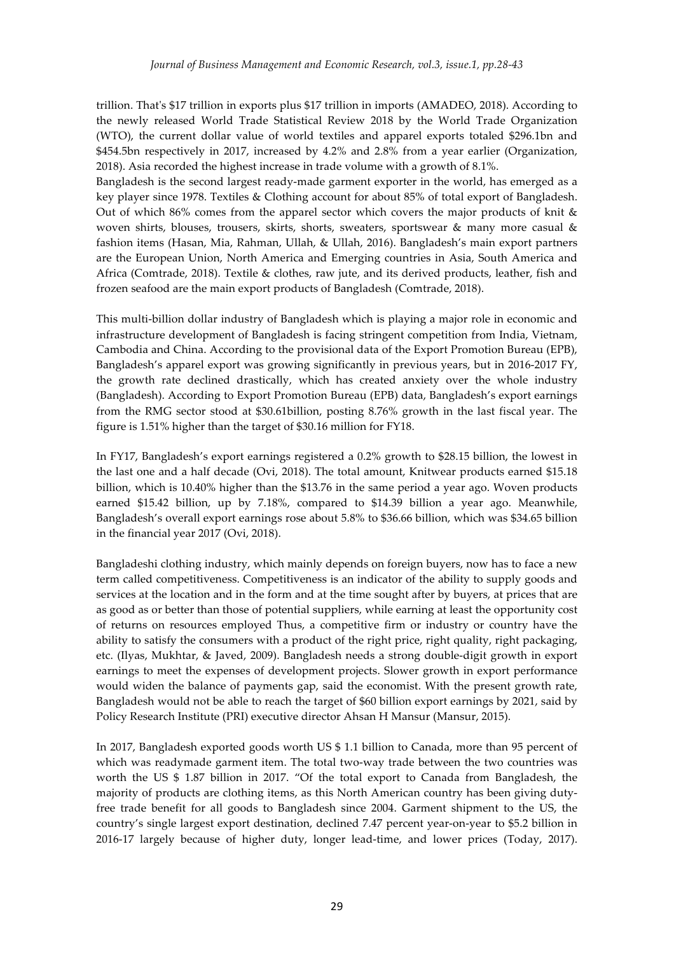trillion. That's \$17 trillion in exports plus \$17 trillion in imports (AMADEO, 2018). According to the newly released World Trade Statistical Review 2018 by the World Trade Organization (WTO), the current dollar value of world textiles and apparel exports totaled \$296.1bn and \$454.5bn respectively in 2017, increased by 4.2% and 2.8% from a year earlier (Organization, 2018). Asia recorded the highest increase in trade volume with a growth of 8.1%.

Bangladesh is the second largest ready-made garment exporter in the world, has emerged as a key player since 1978. Textiles & Clothing account for about 85% of total export of Bangladesh. Out of which 86% comes from the apparel sector which covers the major products of knit & woven shirts, blouses, trousers, skirts, shorts, sweaters, sportswear & many more casual & fashion items (Hasan, Mia, Rahman, Ullah, & Ullah, 2016). Bangladesh's main export partners are the European Union, North America and Emerging countries in Asia, South America and Africa (Comtrade, 2018). Textile & clothes, raw jute, and its derived products, leather, fish and frozen seafood are the main export products of Bangladesh (Comtrade, 2018).

This multi-billion dollar industry of Bangladesh which is playing a major role in economic and infrastructure development of Bangladesh is facing stringent competition from India, Vietnam, Cambodia and China. According to the provisional data of the Export Promotion Bureau (EPB), Bangladesh's apparel export was growing significantly in previous years, but in 2016-2017 FY, the growth rate declined drastically, which has created anxiety over the whole industry (Bangladesh). According to Export Promotion Bureau (EPB) data, Bangladesh's export earnings from the RMG sector stood at \$30.61billion, posting 8.76% growth in the last fiscal year. The figure is 1.51% higher than the target of \$30.16 million for FY18.

In FY17, Bangladesh's export earnings registered a 0.2% growth to \$28.15 billion, the lowest in the last one and a half decade (Ovi, 2018). The total amount, Knitwear products earned \$15.18 billion, which is 10.40% higher than the \$13.76 in the same period a year ago. Woven products earned \$15.42 billion, up by 7.18%, compared to \$14.39 billion a year ago. Meanwhile, Bangladesh's overall export earnings rose about 5.8% to \$36.66 billion, which was \$34.65 billion in the financial year 2017 (Ovi, 2018).

Bangladeshi clothing industry, which mainly depends on foreign buyers, now has to face a new term called competitiveness. Competitiveness is an indicator of the ability to supply goods and services at the location and in the form and at the time sought after by buyers, at prices that are as good as or better than those of potential suppliers, while earning at least the opportunity cost of returns on resources employed Thus, a competitive firm or industry or country have the ability to satisfy the consumers with a product of the right price, right quality, right packaging, etc. (Ilyas, Mukhtar, & Javed, 2009). Bangladesh needs a strong double-digit growth in export earnings to meet the expenses of development projects. Slower growth in export performance would widen the balance of payments gap, said the economist. With the present growth rate, Bangladesh would not be able to reach the target of \$60 billion export earnings by 2021, said by Policy Research Institute (PRI) executive director Ahsan H Mansur (Mansur, 2015).

In 2017, Bangladesh exported goods worth US \$ 1.1 billion to Canada, more than 95 percent of which was readymade garment item. The total two-way trade between the two countries was worth the US \$ 1.87 billion in 2017. "Of the total export to Canada from Bangladesh, the majority of products are clothing items, as this North American country has been giving dutyfree trade benefit for all goods to Bangladesh since 2004. Garment shipment to the US, the country's single largest export destination, declined 7.47 percent year-on-year to \$5.2 billion in 2016-17 largely because of higher duty, longer lead-time, and lower prices (Today, 2017).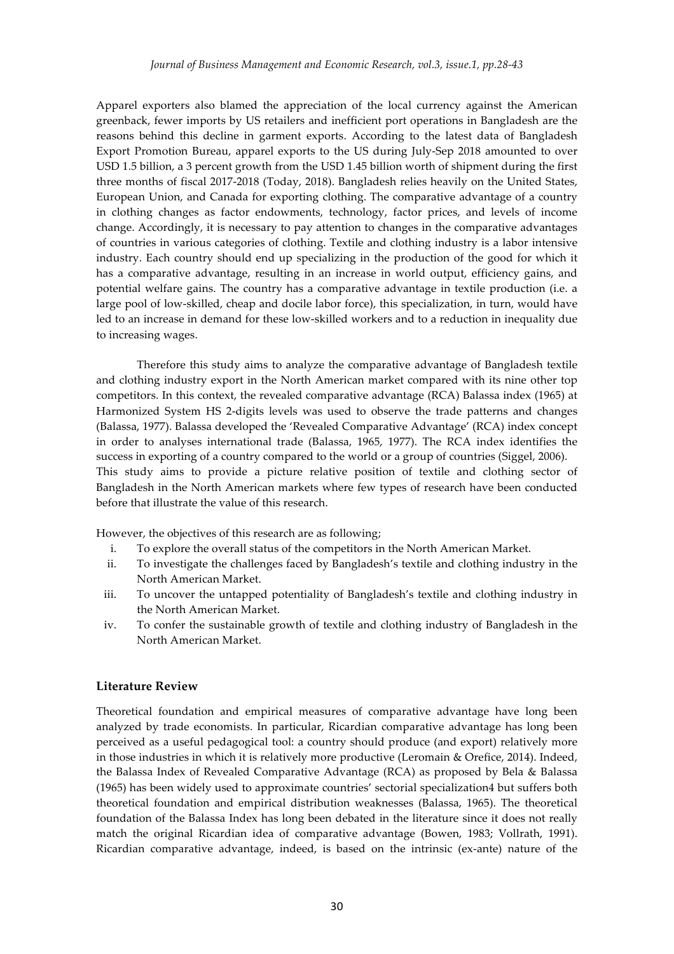Apparel exporters also blamed the appreciation of the local currency against the American greenback, fewer imports by US retailers and inefficient port operations in Bangladesh are the reasons behind this decline in garment exports. According to the latest data of Bangladesh Export Promotion Bureau, apparel exports to the US during July-Sep 2018 amounted to over USD 1.5 billion, a 3 percent growth from the USD 1.45 billion worth of shipment during the first three months of fiscal 2017-2018 (Today, 2018). Bangladesh relies heavily on the United States, European Union, and Canada for exporting clothing. The comparative advantage of a country in clothing changes as factor endowments, technology, factor prices, and levels of income change. Accordingly, it is necessary to pay attention to changes in the comparative advantages of countries in various categories of clothing. Textile and clothing industry is a labor intensive industry. Each country should end up specializing in the production of the good for which it has a comparative advantage, resulting in an increase in world output, efficiency gains, and potential welfare gains. The country has a comparative advantage in textile production (i.e. a large pool of low-skilled, cheap and docile labor force), this specialization, in turn, would have led to an increase in demand for these low-skilled workers and to a reduction in inequality due to increasing wages.

Therefore this study aims to analyze the comparative advantage of Bangladesh textile and clothing industry export in the North American market compared with its nine other top competitors. In this context, the revealed comparative advantage (RCA) Balassa index (1965) at Harmonized System HS 2-digits levels was used to observe the trade patterns and changes (Balassa, 1977). Balassa developed the 'Revealed Comparative Advantage' (RCA) index concept in order to analyses international trade (Balassa, 1965, 1977). The RCA index identifies the success in exporting of a country compared to the world or a group of countries (Siggel, 2006). This study aims to provide a picture relative position of textile and clothing sector of Bangladesh in the North American markets where few types of research have been conducted before that illustrate the value of this research.

However, the objectives of this research are as following;

- i. To explore the overall status of the competitors in the North American Market.
- ii. To investigate the challenges faced by Bangladesh's textile and clothing industry in the North American Market.
- iii. To uncover the untapped potentiality of Bangladesh's textile and clothing industry in the North American Market.
- iv. To confer the sustainable growth of textile and clothing industry of Bangladesh in the North American Market.

#### **Literature Review**

Theoretical foundation and empirical measures of comparative advantage have long been analyzed by trade economists. In particular, Ricardian comparative advantage has long been perceived as a useful pedagogical tool: a country should produce (and export) relatively more in those industries in which it is relatively more productive (Leromain & Orefice, 2014). Indeed, the Balassa Index of Revealed Comparative Advantage (RCA) as proposed by Bela & Balassa (1965) has been widely used to approximate countries' sectorial specialization4 but suffers both theoretical foundation and empirical distribution weaknesses (Balassa, 1965). The theoretical foundation of the Balassa Index has long been debated in the literature since it does not really match the original Ricardian idea of comparative advantage (Bowen, 1983; Vollrath, 1991). Ricardian comparative advantage, indeed, is based on the intrinsic (ex-ante) nature of the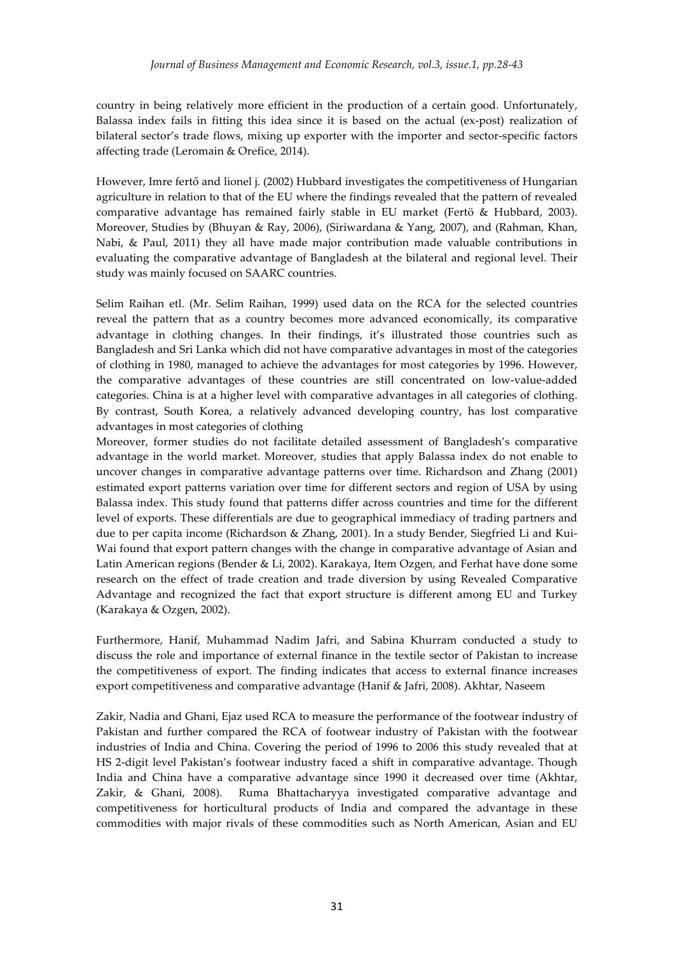country in being relatively more efficient in the production of a certain good. Unfortunately, Balassa index fails in fitting this idea since it is based on the actual (ex-post) realization of bilateral sector's trade flows, mixing up exporter with the importer and sector-specific factors affecting trade (Leromain & Orefice, 2014).

However, Imre fertő and lionel j. (2002) Hubbard investigates the competitiveness of Hungarian agriculture in relation to that of the EU where the findings revealed that the pattern of revealed comparative advantage has remained fairly stable in EU market (Fertö & Hubbard, 2003). Moreover, Studies by (Bhuyan & Ray, 2006), (Siriwardana & Yang, 2007), and (Rahman, Khan, Nabi, & Paul, 2011) they all have made major contribution made valuable contributions in evaluating the comparative advantage of Bangladesh at the bilateral and regional level. Their study was mainly focused on SAARC countries.

Selim Raihan etl. (Mr. Selim Raihan, 1999) used data on the RCA for the selected countries reveal the pattern that as a country becomes more advanced economically, its comparative advantage in clothing changes. In their findings, it's illustrated those countries such as Bangladesh and Sri Lanka which did not have comparative advantages in most of the categories of clothing in 1980, managed to achieve the advantages for most categories by 1996. However, the comparative advantages of these countries are still concentrated on low-value-added categories. China is at a higher level with comparative advantages in all categories of clothing. By contrast, South Korea, a relatively advanced developing country, has lost comparative advantages in most categories of clothing

Moreover, former studies do not facilitate detailed assessment of Bangladesh's comparative advantage in the world market. Moreover, studies that apply Balassa index do not enable to uncover changes in comparative advantage patterns over time. Richardson and Zhang (2001) estimated export patterns variation over time for different sectors and region of USA by using Balassa index. This study found that patterns differ across countries and time for the different level of exports. These differentials are due to geographical immediacy of trading partners and due to per capita income (Richardson & Zhang, 2001). In a study Bender, Siegfried Li and Kui-Wai found that export pattern changes with the change in comparative advantage of Asian and Latin American regions (Bender & Li, 2002). Karakaya, Item Ozgen, and Ferhat have done some research on the effect of trade creation and trade diversion by using Revealed Comparative Advantage and recognized the fact that export structure is different among EU and Turkey (Karakaya & Ozgen, 2002).

Furthermore, Hanif, Muhammad Nadim Jafri, and Sabina Khurram conducted a study to discuss the role and importance of external finance in the textile sector of Pakistan to increase the competitiveness of export. The finding indicates that access to external finance increases export competitiveness and comparative advantage (Hanif & Jafri, 2008). Akhtar, Naseem

Zakir, Nadia and Ghani, Ejaz used RCA to measure the performance of the footwear industry of Pakistan and further compared the RCA of footwear industry of Pakistan with the footwear industries of India and China. Covering the period of 1996 to 2006 this study revealed that at HS 2-digit level Pakistan's footwear industry faced a shift in comparative advantage. Though India and China have a comparative advantage since 1990 it decreased over time (Akhtar, Zakir, & Ghani, 2008). Ruma Bhattacharyya investigated comparative advantage and competitiveness for horticultural products of India and compared the advantage in these commodities with major rivals of these commodities such as North American, Asian and EU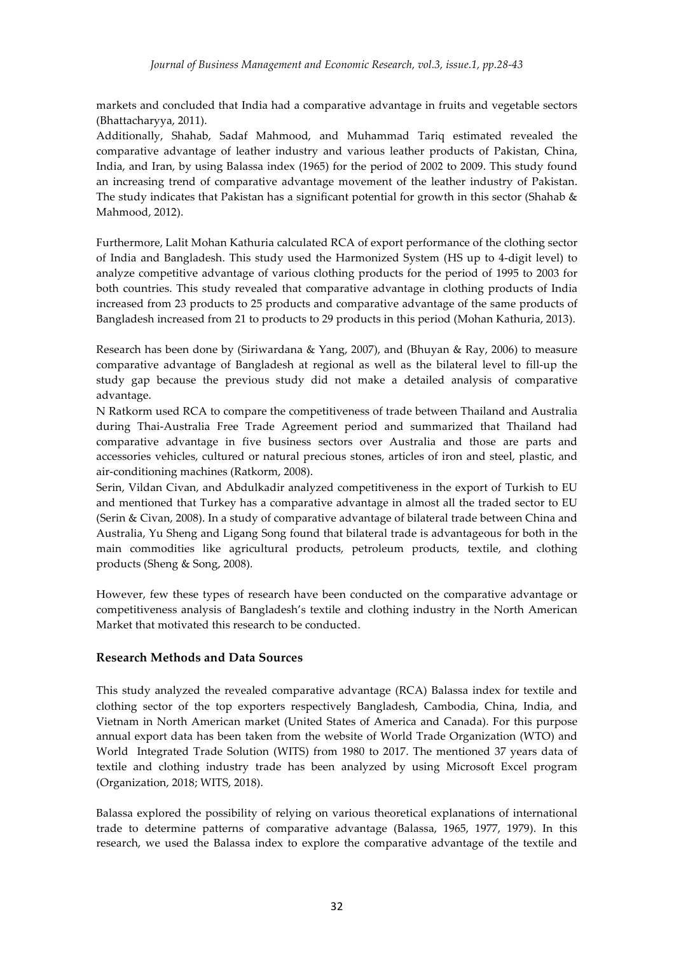markets and concluded that India had a comparative advantage in fruits and vegetable sectors (Bhattacharyya, 2011).

Additionally, Shahab, Sadaf Mahmood, and Muhammad Tariq estimated revealed the comparative advantage of leather industry and various leather products of Pakistan, China, India, and Iran, by using Balassa index (1965) for the period of 2002 to 2009. This study found an increasing trend of comparative advantage movement of the leather industry of Pakistan. The study indicates that Pakistan has a significant potential for growth in this sector (Shahab & Mahmood, 2012).

Furthermore, Lalit Mohan Kathuria calculated RCA of export performance of the clothing sector of India and Bangladesh. This study used the Harmonized System (HS up to 4-digit level) to analyze competitive advantage of various clothing products for the period of 1995 to 2003 for both countries. This study revealed that comparative advantage in clothing products of India increased from 23 products to 25 products and comparative advantage of the same products of Bangladesh increased from 21 to products to 29 products in this period (Mohan Kathuria, 2013).

Research has been done by (Siriwardana & Yang, 2007), and (Bhuyan & Ray, 2006) to measure comparative advantage of Bangladesh at regional as well as the bilateral level to fill-up the study gap because the previous study did not make a detailed analysis of comparative advantage.

N Ratkorm used RCA to compare the competitiveness of trade between Thailand and Australia during Thai-Australia Free Trade Agreement period and summarized that Thailand had comparative advantage in five business sectors over Australia and those are parts and accessories vehicles, cultured or natural precious stones, articles of iron and steel, plastic, and air-conditioning machines (Ratkorm, 2008).

Serin, Vildan Civan, and Abdulkadir analyzed competitiveness in the export of Turkish to EU and mentioned that Turkey has a comparative advantage in almost all the traded sector to EU (Serin & Civan, 2008). In a study of comparative advantage of bilateral trade between China and Australia, Yu Sheng and Ligang Song found that bilateral trade is advantageous for both in the main commodities like agricultural products, petroleum products, textile, and clothing products (Sheng & Song, 2008).

However, few these types of research have been conducted on the comparative advantage or competitiveness analysis of Bangladesh's textile and clothing industry in the North American Market that motivated this research to be conducted.

### **Research Methods and Data Sources**

This study analyzed the revealed comparative advantage (RCA) Balassa index for textile and clothing sector of the top exporters respectively Bangladesh, Cambodia, China, India, and Vietnam in North American market (United States of America and Canada). For this purpose annual export data has been taken from the website of World Trade Organization (WTO) and World Integrated Trade Solution (WITS) from 1980 to 2017. The mentioned 37 years data of textile and clothing industry trade has been analyzed by using Microsoft Excel program (Organization, 2018; WITS, 2018).

Balassa explored the possibility of relying on various theoretical explanations of international trade to determine patterns of comparative advantage (Balassa, 1965, 1977, 1979). In this research, we used the Balassa index to explore the comparative advantage of the textile and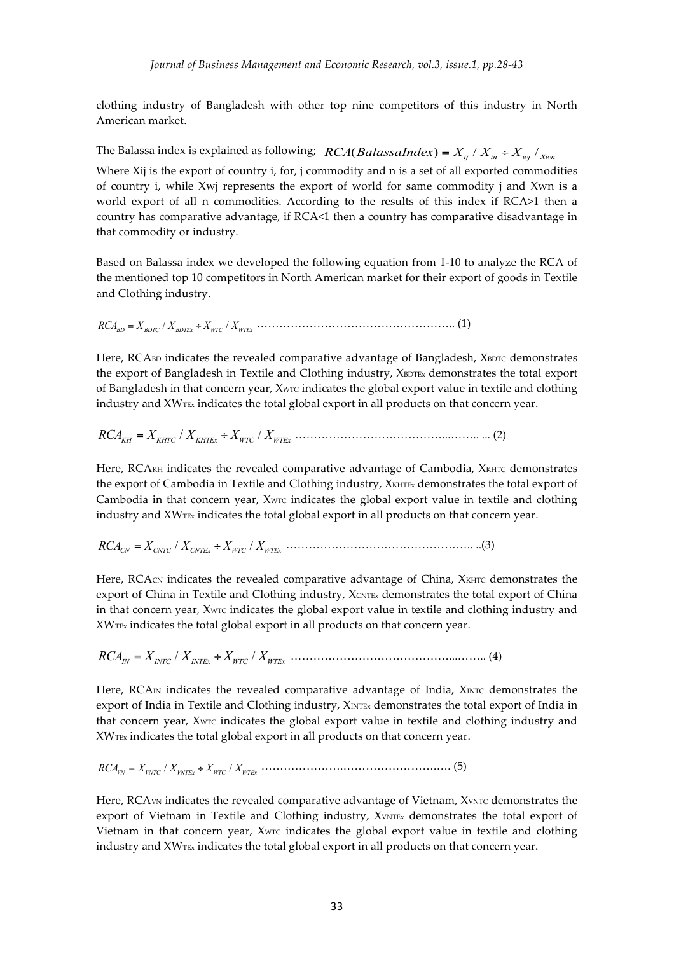clothing industry of Bangladesh with other top nine competitors of this industry in North American market.

The Balassa index is explained as following;  $RCA(Balassalndex) = X_{ij} / X_{in} + X_{mj} / X_{Wn}$ 

Where Xij is the export of country i, for, j commodity and n is a set of all exported commodities of country i, while Xwj represents the export of world for same commodity j and Xwn is a world export of all n commodities. According to the results of this index if RCA>1 then a country has comparative advantage, if RCA<1 then a country has comparative disadvantage in that commodity or industry.

Based on Balassa index we developed the following equation from 1-10 to analyze the RCA of the mentioned top 10 competitors in North American market for their export of goods in Textile and Clothing industry.

/ / *RCA X X X X BD BDTC BDTEx WTC WTEx* = ÷ …………………………………………….. (1)

Here, RCABD indicates the revealed comparative advantage of Bangladesh, XBDTC demonstrates the export of Bangladesh in Textile and Clothing industry, XBDTEx demonstrates the total export of Bangladesh in that concern year, Xw<sub>TC</sub> indicates the global export value in textile and clothing industry and XWTEx indicates the total global export in all products on that concern year.

/ / *RCA X X X X KH KHTC KHTEx WTC WTEx* = ÷ …………………………………...…….. ... (2)

Here, RCAKH indicates the revealed comparative advantage of Cambodia, XKHTC demonstrates the export of Cambodia in Textile and Clothing industry, XKHTEx demonstrates the total export of Cambodia in that concern year, XwTc indicates the global export value in textile and clothing industry and  $XW_{\text{TEx}}$  indicates the total global export in all products on that concern year.

/ / *RCA X X X X CN CNTC CNTEx WTC WTEx* = ÷ ………………………………………….. ..(3)

Here, RCAcn indicates the revealed comparative advantage of China, XKHTC demonstrates the export of China in Textile and Clothing industry, XCNTEX demonstrates the total export of China in that concern year, XWTC indicates the global export value in textile and clothing industry and XWTEx indicates the total global export in all products on that concern year.

 $RCA_{IN} = X_{INTC} / X_{INTEx} \div X_{WTC} / X_{WTEx} \dots \dots \dots \dots \dots \dots \dots \dots \dots \dots \dots \dots \dots \dots \tag{4}$ 

Here,  $RCAn$  indicates the revealed comparative advantage of India,  $X_{INTC}$  demonstrates the export of India in Textile and Clothing industry, XINTEx demonstrates the total export of India in that concern year, XwTc indicates the global export value in textile and clothing industry and XWTEx indicates the total global export in all products on that concern year.

/ / *RCA X X X X VN VNTC VNTEx WTC WTEx* = ÷ ………………….…………………….…. (5)

Here, RCA<sub>VN</sub> indicates the revealed comparative advantage of Vietnam, XVNTC demonstrates the export of Vietnam in Textile and Clothing industry, XVNTEx demonstrates the total export of Vietnam in that concern year, XwTc indicates the global export value in textile and clothing industry and XWTEx indicates the total global export in all products on that concern year.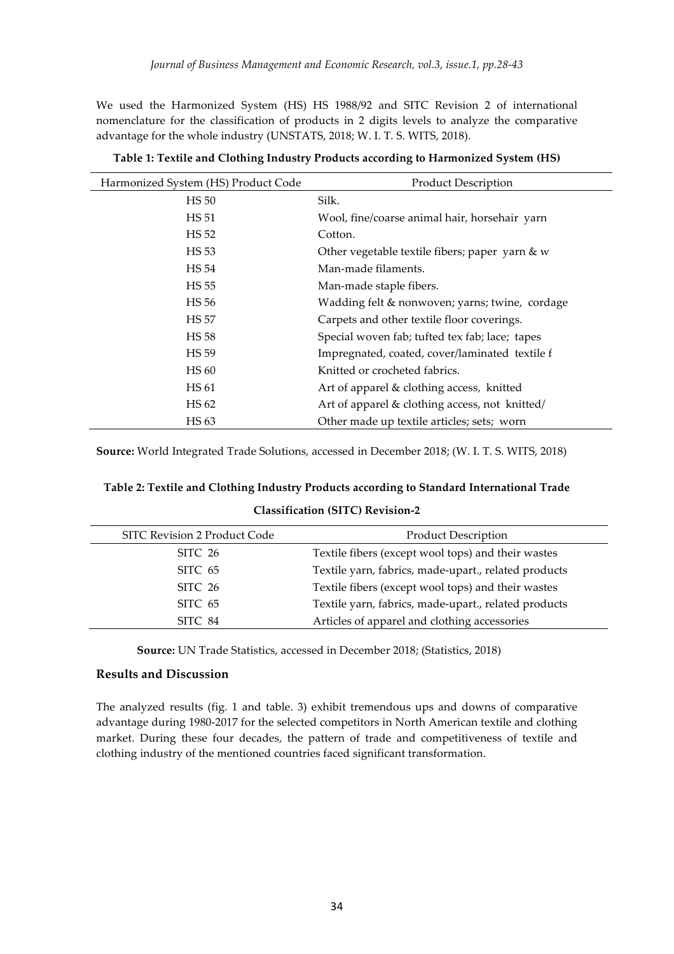We used the Harmonized System (HS) HS 1988/92 and SITC Revision 2 of international nomenclature for the classification of products in 2 digits levels to analyze the comparative advantage for the whole industry (UNSTATS, 2018; W. I. T. S. WITS, 2018).

| Harmonized System (HS) Product Code | <b>Product Description</b>                     |
|-------------------------------------|------------------------------------------------|
| <b>HS</b> 50                        | Silk.                                          |
| HS 51                               | Wool, fine/coarse animal hair, horsehair yarn  |
| HS 52                               | Cotton.                                        |
| HS 53                               | Other vegetable textile fibers; paper yarn & w |
| HS 54                               | Man-made filaments.                            |
| HS 55                               | Man-made staple fibers.                        |
| HS 56                               | Wadding felt & nonwoven; yarns; twine, cordage |
| <b>HS 57</b>                        | Carpets and other textile floor coverings.     |
| HS 58                               | Special woven fab; tufted tex fab; lace; tapes |
| HS 59                               | Impregnated, coated, cover/laminated textile f |
| <b>HS 60</b>                        | Knitted or crocheted fabrics.                  |
| HS 61                               | Art of apparel & clothing access, knitted      |
| HS 62                               | Art of apparel & clothing access, not knitted/ |
| HS 63                               | Other made up textile articles; sets; worn     |

**Table 1: Textile and Clothing Industry Products according to Harmonized System (HS)**

**Source:** World Integrated Trade Solutions, accessed in December 2018; (W. I. T. S. WITS, 2018)

#### **Classification (SITC) Revision-2**

| <b>Product Description</b>                           |
|------------------------------------------------------|
| Textile fibers (except wool tops) and their wastes   |
| Textile yarn, fabrics, made-upart., related products |
| Textile fibers (except wool tops) and their wastes   |
| Textile yarn, fabrics, made-upart., related products |
| Articles of apparel and clothing accessories         |
|                                                      |

**Source:** UN Trade Statistics, accessed in December 2018; (Statistics, 2018)

#### **Results and Discussion**

The analyzed results (fig. 1 and table. 3) exhibit tremendous ups and downs of comparative advantage during 1980-2017 for the selected competitors in North American textile and clothing market. During these four decades, the pattern of trade and competitiveness of textile and clothing industry of the mentioned countries faced significant transformation.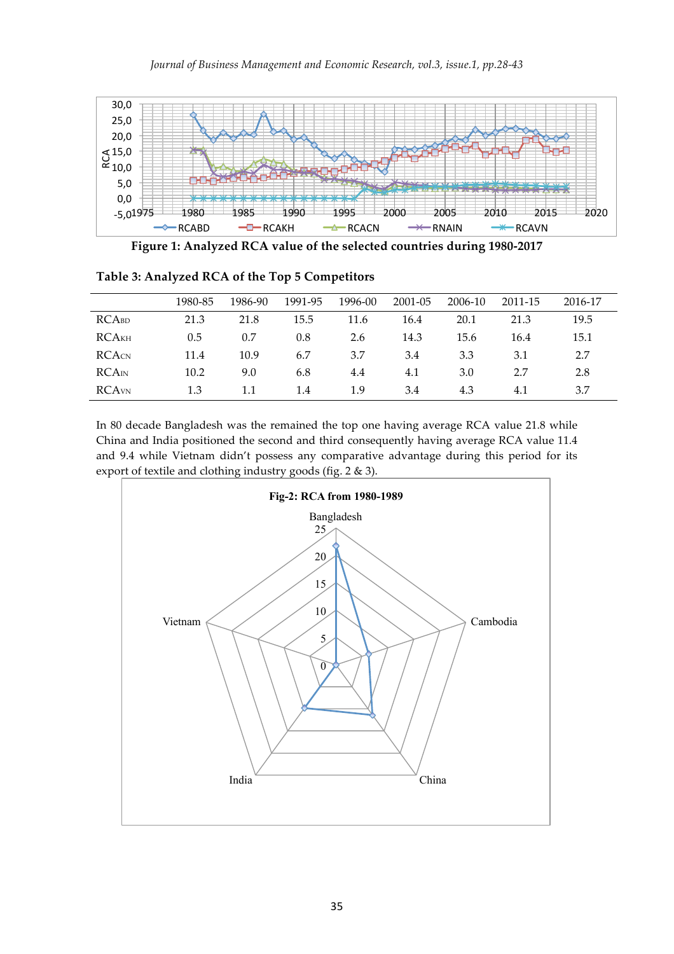

**Figure 1: Analyzed RCA value of the selected countries during 1980-2017**

|                          | 1980-85 | 1986-90 | 1991-95 | 1996-00 | 2001-05 | 2006-10 | 2011-15 | 2016-17 |
|--------------------------|---------|---------|---------|---------|---------|---------|---------|---------|
| <b>RCABD</b>             | 21.3    | 21.8    | 15.5    | 11.6    | 16.4    | 20.1    | 21.3    | 19.5    |
| <b>RCA</b> <sub>KH</sub> | 0.5     | 0.7     | 0.8     | 2.6     | 14.3    | 15.6    | 16.4    | 15.1    |
| <b>RCACN</b>             | 11.4    | 10.9    | 6.7     | 3.7     | 3.4     | 3.3     | 3.1     | 2.7     |
| RCAm                     | 10.2    | 9.0     | 6.8     | 4.4     | 4.1     | 3.0     | 2.7     | 2.8     |
| <b>RCA</b> <sub>WN</sub> | 1.3     | 1.1     | 1.4     | 1.9     | 3.4     | 4.3     | 4.1     | 3.7     |

**Table 3: Analyzed RCA of the Top 5 Competitors** 

In 80 decade Bangladesh was the remained the top one having average RCA value 21.8 while China and India positioned the second and third consequently having average RCA value 11.4 and 9.4 while Vietnam didn't possess any comparative advantage during this period for its export of textile and clothing industry goods (fig. 2 & 3).

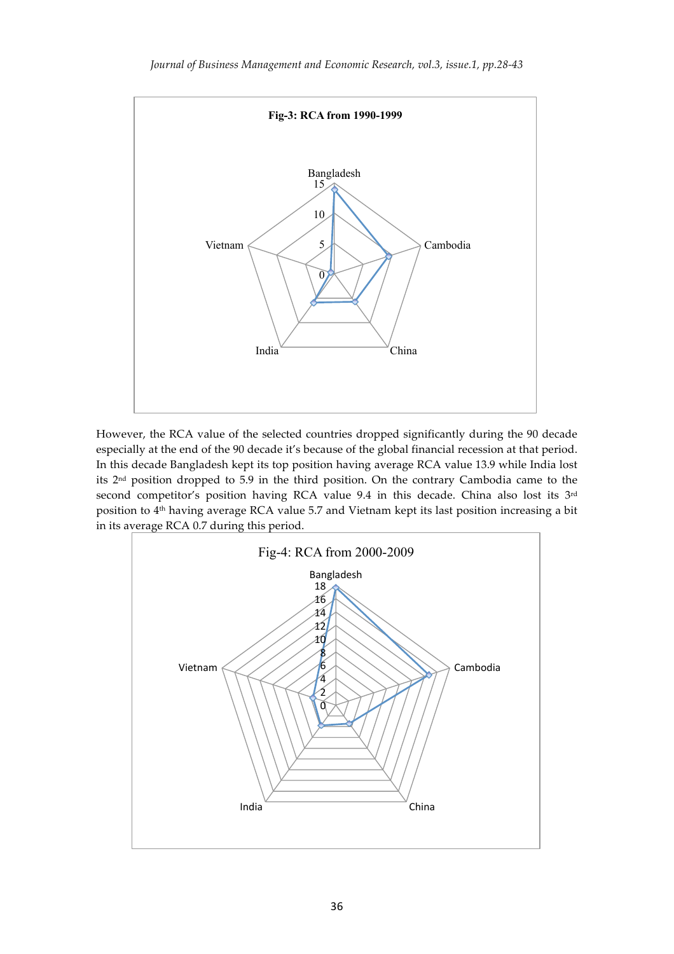

However, the RCA value of the selected countries dropped significantly during the 90 decade especially at the end of the 90 decade it's because of the global financial recession at that period. In this decade Bangladesh kept its top position having average RCA value 13.9 while India lost its 2nd position dropped to 5.9 in the third position. On the contrary Cambodia came to the second competitor's position having RCA value 9.4 in this decade. China also lost its 3rd position to 4th having average RCA value 5.7 and Vietnam kept its last position increasing a bit in its average RCA 0.7 during this period.

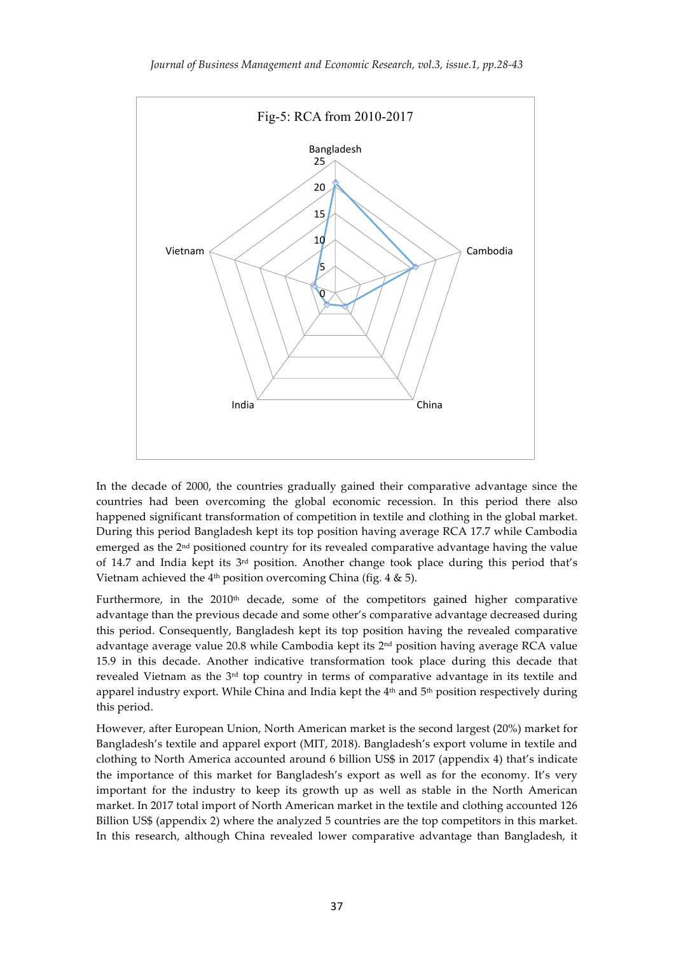

In the decade of 2000, the countries gradually gained their comparative advantage since the countries had been overcoming the global economic recession. In this period there also happened significant transformation of competition in textile and clothing in the global market. During this period Bangladesh kept its top position having average RCA 17.7 while Cambodia emerged as the 2nd positioned country for its revealed comparative advantage having the value of 14.7 and India kept its  $3<sup>rd</sup>$  position. Another change took place during this period that's Vietnam achieved the  $4<sup>th</sup>$  position overcoming China (fig. 4 & 5).

Furthermore, in the  $2010<sup>th</sup>$  decade, some of the competitors gained higher comparative advantage than the previous decade and some other's comparative advantage decreased during this period. Consequently, Bangladesh kept its top position having the revealed comparative advantage average value 20.8 while Cambodia kept its 2nd position having average RCA value 15.9 in this decade. Another indicative transformation took place during this decade that revealed Vietnam as the  $3<sup>rd</sup>$  top country in terms of comparative advantage in its textile and apparel industry export. While China and India kept the  $4<sup>th</sup>$  and  $5<sup>th</sup>$  position respectively during this period.

However, after European Union, North American market is the second largest (20%) market for Bangladesh's textile and apparel export (MIT, 2018). Bangladesh's export volume in textile and clothing to North America accounted around 6 billion US\$ in 2017 (appendix 4) that's indicate the importance of this market for Bangladesh's export as well as for the economy. It's very important for the industry to keep its growth up as well as stable in the North American market. In 2017 total import of North American market in the textile and clothing accounted 126 Billion US\$ (appendix 2) where the analyzed 5 countries are the top competitors in this market. In this research, although China revealed lower comparative advantage than Bangladesh, it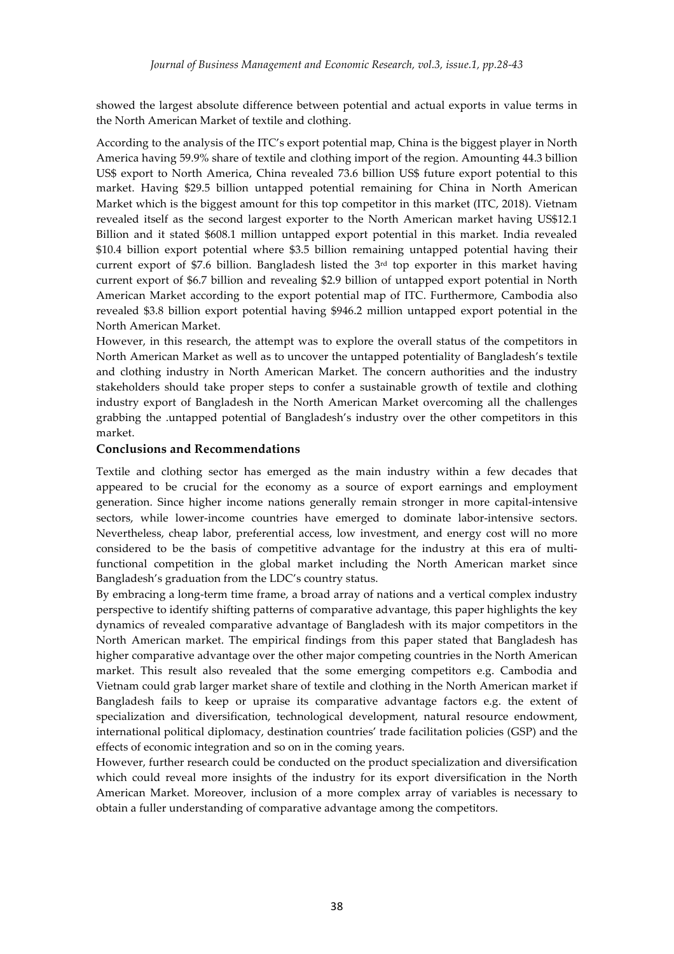showed the largest absolute difference between potential and actual exports in value terms in the North American Market of textile and clothing.

According to the analysis of the ITC's export potential map, China is the biggest player in North America having 59.9% share of textile and clothing import of the region. Amounting 44.3 billion US\$ export to North America, China revealed 73.6 billion US\$ future export potential to this market. Having \$29.5 billion untapped potential remaining for China in North American Market which is the biggest amount for this top competitor in this market (ITC, 2018). Vietnam revealed itself as the second largest exporter to the North American market having US\$12.1 Billion and it stated \$608.1 million untapped export potential in this market. India revealed \$10.4 billion export potential where \$3.5 billion remaining untapped potential having their current export of \$7.6 billion. Bangladesh listed the  $3<sup>rd</sup>$  top exporter in this market having current export of \$6.7 billion and revealing \$2.9 billion of untapped export potential in North American Market according to the export potential map of ITC. Furthermore, Cambodia also revealed \$3.8 billion export potential having \$946.2 million untapped export potential in the North American Market.

However, in this research, the attempt was to explore the overall status of the competitors in North American Market as well as to uncover the untapped potentiality of Bangladesh's textile and clothing industry in North American Market. The concern authorities and the industry stakeholders should take proper steps to confer a sustainable growth of textile and clothing industry export of Bangladesh in the North American Market overcoming all the challenges grabbing the .untapped potential of Bangladesh's industry over the other competitors in this market.

#### **Conclusions and Recommendations**

Textile and clothing sector has emerged as the main industry within a few decades that appeared to be crucial for the economy as a source of export earnings and employment generation. Since higher income nations generally remain stronger in more capital-intensive sectors, while lower-income countries have emerged to dominate labor-intensive sectors. Nevertheless, cheap labor, preferential access, low investment, and energy cost will no more considered to be the basis of competitive advantage for the industry at this era of multifunctional competition in the global market including the North American market since Bangladesh's graduation from the LDC's country status.

By embracing a long-term time frame, a broad array of nations and a vertical complex industry perspective to identify shifting patterns of comparative advantage, this paper highlights the key dynamics of revealed comparative advantage of Bangladesh with its major competitors in the North American market. The empirical findings from this paper stated that Bangladesh has higher comparative advantage over the other major competing countries in the North American market. This result also revealed that the some emerging competitors e.g. Cambodia and Vietnam could grab larger market share of textile and clothing in the North American market if Bangladesh fails to keep or upraise its comparative advantage factors e.g. the extent of specialization and diversification, technological development, natural resource endowment, international political diplomacy, destination countries' trade facilitation policies (GSP) and the effects of economic integration and so on in the coming years.

However, further research could be conducted on the product specialization and diversification which could reveal more insights of the industry for its export diversification in the North American Market. Moreover, inclusion of a more complex array of variables is necessary to obtain a fuller understanding of comparative advantage among the competitors.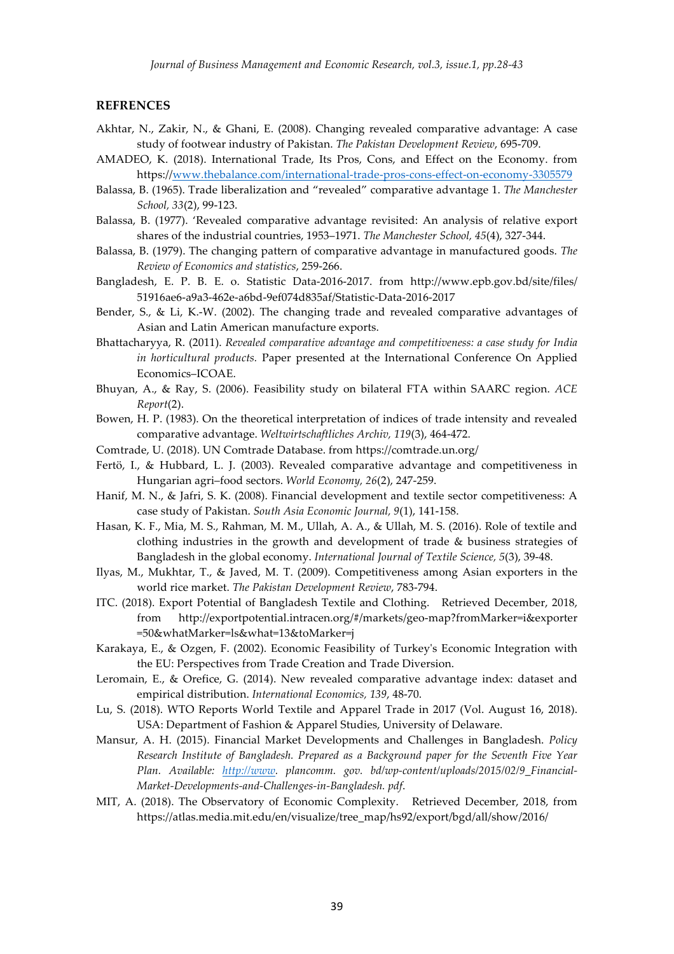#### **REFRENCES**

- Akhtar, N., Zakir, N., & Ghani, E. (2008). Changing revealed comparative advantage: A case study of footwear industry of Pakistan. *The Pakistan Development Review*, 695-709.
- AMADEO, K. (2018). International Trade, Its Pros, Cons, and Effect on the Economy. from https://www.thebalance.com/international-trade-pros-cons-effect-on-economy-3305579
- Balassa, B. (1965). Trade liberalization and "revealed" comparative advantage 1. *The Manchester School, 33*(2), 99-123.
- Balassa, B. (1977). 'Revealed comparative advantage revisited: An analysis of relative export shares of the industrial countries, 1953–1971. *The Manchester School, 45*(4), 327-344.
- Balassa, B. (1979). The changing pattern of comparative advantage in manufactured goods. *The Review of Economics and statistics*, 259-266.
- Bangladesh, E. P. B. E. o. Statistic Data-2016-2017. from http://www.epb.gov.bd/site/files/ 51916ae6-a9a3-462e-a6bd-9ef074d835af/Statistic-Data-2016-2017
- Bender, S., & Li, K.-W. (2002). The changing trade and revealed comparative advantages of Asian and Latin American manufacture exports.
- Bhattacharyya, R. (2011). *Revealed comparative advantage and competitiveness: a case study for India in horticultural products.* Paper presented at the International Conference On Applied Economics–ICOAE.
- Bhuyan, A., & Ray, S. (2006). Feasibility study on bilateral FTA within SAARC region. *ACE Report*(2).
- Bowen, H. P. (1983). On the theoretical interpretation of indices of trade intensity and revealed comparative advantage. *Weltwirtschaftliches Archiv, 119*(3), 464-472.
- Comtrade, U. (2018). UN Comtrade Database. from https://comtrade.un.org/
- Fertö, I., & Hubbard, L. J. (2003). Revealed comparative advantage and competitiveness in Hungarian agri–food sectors. *World Economy, 26*(2), 247-259.
- Hanif, M. N., & Jafri, S. K. (2008). Financial development and textile sector competitiveness: A case study of Pakistan. *South Asia Economic Journal, 9*(1), 141-158.
- Hasan, K. F., Mia, M. S., Rahman, M. M., Ullah, A. A., & Ullah, M. S. (2016). Role of textile and clothing industries in the growth and development of trade & business strategies of Bangladesh in the global economy. *International Journal of Textile Science, 5*(3), 39-48.
- Ilyas, M., Mukhtar, T., & Javed, M. T. (2009). Competitiveness among Asian exporters in the world rice market. *The Pakistan Development Review*, 783-794.
- ITC. (2018). Export Potential of Bangladesh Textile and Clothing. Retrieved December, 2018, from http://exportpotential.intracen.org/#/markets/geo-map?fromMarker=i&exporter =50&whatMarker=ls&what=13&toMarker=j
- Karakaya, E., & Ozgen, F. (2002). Economic Feasibility of Turkey's Economic Integration with the EU: Perspectives from Trade Creation and Trade Diversion.
- Leromain, E., & Orefice, G. (2014). New revealed comparative advantage index: dataset and empirical distribution. *International Economics, 139*, 48-70.
- Lu, S. (2018). WTO Reports World Textile and Apparel Trade in 2017 (Vol. August 16, 2018). USA: Department of Fashion & Apparel Studies, University of Delaware.
- Mansur, A. H. (2015). Financial Market Developments and Challenges in Bangladesh. *Policy Research Institute of Bangladesh. Prepared as a Background paper for the Seventh Five Year Plan. Available: http://www. plancomm. gov. bd/wp-content/uploads/2015/02/9\_Financial-Market-Developments-and-Challenges-in-Bangladesh. pdf*.
- MIT, A. (2018). The Observatory of Economic Complexity. Retrieved December, 2018, from https://atlas.media.mit.edu/en/visualize/tree\_map/hs92/export/bgd/all/show/2016/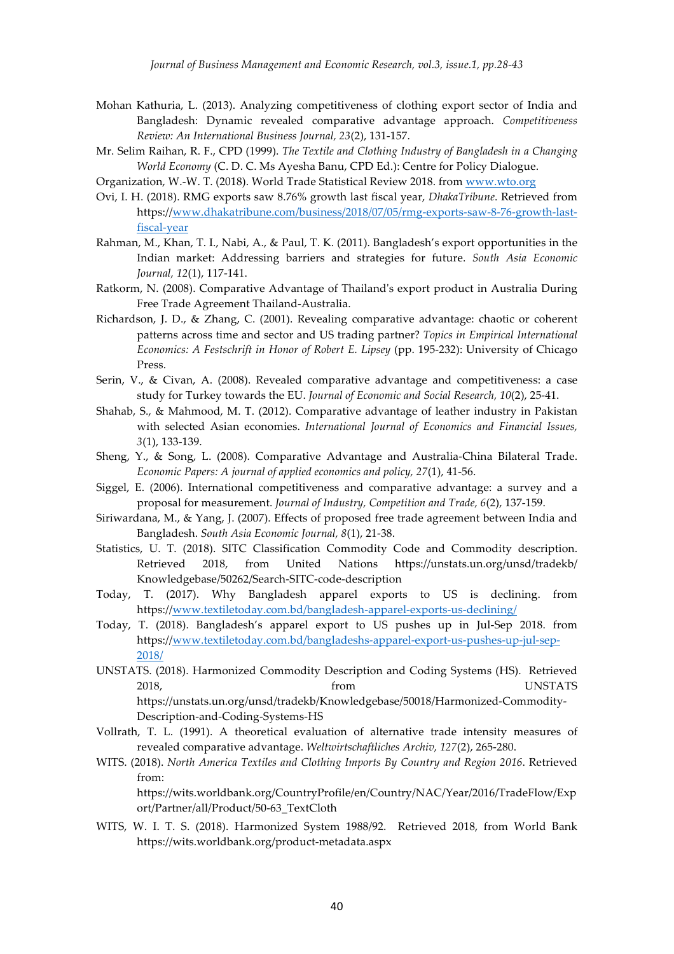- Mohan Kathuria, L. (2013). Analyzing competitiveness of clothing export sector of India and Bangladesh: Dynamic revealed comparative advantage approach. *Competitiveness Review: An International Business Journal, 23*(2), 131-157.
- Mr. Selim Raihan, R. F., CPD (1999). *The Textile and Clothing Industry of Bangladesh in a Changing World Economy* (C. D. C. Ms Ayesha Banu, CPD Ed.): Centre for Policy Dialogue.

Organization, W.-W. T. (2018). World Trade Statistical Review 2018. from www.wto.org

- Ovi, I. H. (2018). RMG exports saw 8.76% growth last fiscal year, *DhakaTribune*. Retrieved from https://www.dhakatribune.com/business/2018/07/05/rmg-exports-saw-8-76-growth-lastfiscal-year
- Rahman, M., Khan, T. I., Nabi, A., & Paul, T. K. (2011). Bangladesh's export opportunities in the Indian market: Addressing barriers and strategies for future. *South Asia Economic Journal, 12*(1), 117-141.
- Ratkorm, N. (2008). Comparative Advantage of Thailand's export product in Australia During Free Trade Agreement Thailand-Australia.
- Richardson, J. D., & Zhang, C. (2001). Revealing comparative advantage: chaotic or coherent patterns across time and sector and US trading partner? *Topics in Empirical International Economics: A Festschrift in Honor of Robert E. Lipsey* (pp. 195-232): University of Chicago Press.
- Serin, V., & Civan, A. (2008). Revealed comparative advantage and competitiveness: a case study for Turkey towards the EU. *Journal of Economic and Social Research, 10*(2), 25-41.
- Shahab, S., & Mahmood, M. T. (2012). Comparative advantage of leather industry in Pakistan with selected Asian economies. *International Journal of Economics and Financial Issues, 3*(1), 133-139.
- Sheng, Y., & Song, L. (2008). Comparative Advantage and Australia-China Bilateral Trade. *Economic Papers: A journal of applied economics and policy, 27*(1), 41-56.
- Siggel, E. (2006). International competitiveness and comparative advantage: a survey and a proposal for measurement. *Journal of Industry, Competition and Trade, 6*(2), 137-159.
- Siriwardana, M., & Yang, J. (2007). Effects of proposed free trade agreement between India and Bangladesh. *South Asia Economic Journal, 8*(1), 21-38.
- Statistics, U. T. (2018). SITC Classification Commodity Code and Commodity description. Retrieved 2018, from United Nations https://unstats.un.org/unsd/tradekb/ Knowledgebase/50262/Search-SITC-code-description
- Today, T. (2017). Why Bangladesh apparel exports to US is declining. from https://www.textiletoday.com.bd/bangladesh-apparel-exports-us-declining/
- Today, T. (2018). Bangladesh's apparel export to US pushes up in Jul-Sep 2018. from https://www.textiletoday.com.bd/bangladeshs-apparel-export-us-pushes-up-jul-sep-2018/
- UNSTATS. (2018). Harmonized Commodity Description and Coding Systems (HS). Retrieved 2018, from UNSTATS https://unstats.un.org/unsd/tradekb/Knowledgebase/50018/Harmonized-Commodity-Description-and-Coding-Systems-HS
- Vollrath, T. L. (1991). A theoretical evaluation of alternative trade intensity measures of revealed comparative advantage. *Weltwirtschaftliches Archiv, 127*(2), 265-280.
- WITS. (2018). *North America Textiles and Clothing Imports By Country and Region 2016*. Retrieved from:

https://wits.worldbank.org/CountryProfile/en/Country/NAC/Year/2016/TradeFlow/Exp ort/Partner/all/Product/50-63\_TextCloth

WITS, W. I. T. S. (2018). Harmonized System 1988/92. Retrieved 2018, from World Bank https://wits.worldbank.org/product-metadata.aspx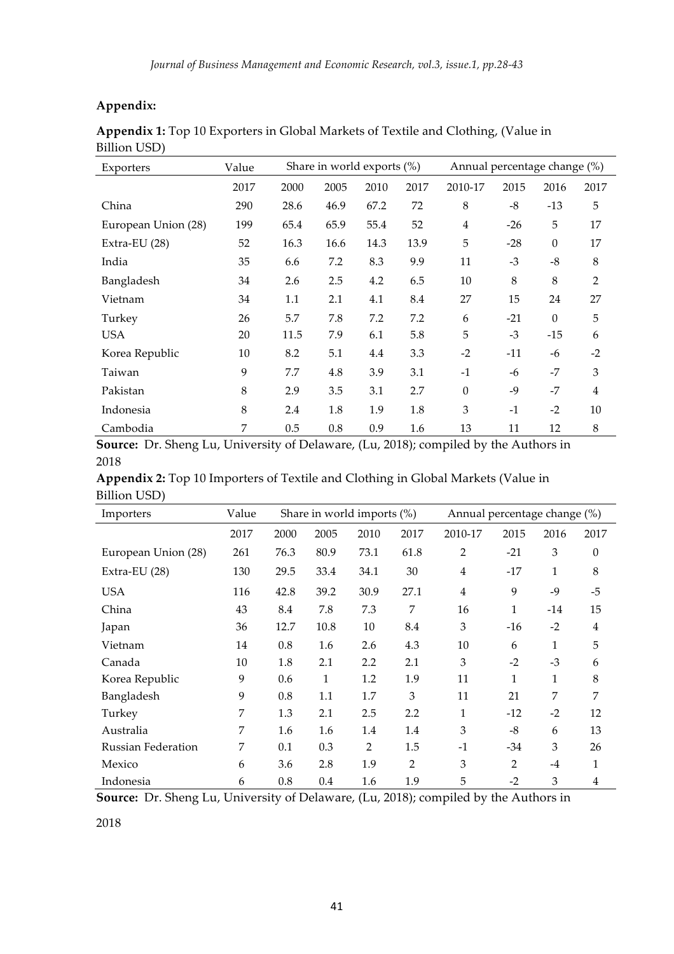## **Appendix:**

| Exporters           | Value | Share in world exports (%) |      |      | Annual percentage change (%) |                |         |                  |                |
|---------------------|-------|----------------------------|------|------|------------------------------|----------------|---------|------------------|----------------|
|                     | 2017  | 2000                       | 2005 | 2010 | 2017                         | 2010-17        | 2015    | 2016             | 2017           |
| China               | 290   | 28.6                       | 46.9 | 67.2 | 72                           | 8              | $-8$    | $-13$            | 5              |
| European Union (28) | 199   | 65.4                       | 65.9 | 55.4 | 52                           | $\overline{4}$ | $-26$   | 5                | 17             |
| Extra-EU (28)       | 52    | 16.3                       | 16.6 | 14.3 | 13.9                         | 5              | $-28$   | $\boldsymbol{0}$ | 17             |
| India               | 35    | 6.6                        | 7.2  | 8.3  | 9.9                          | 11             | $-3$    | $-8$             | 8              |
| Bangladesh          | 34    | 2.6                        | 2.5  | 4.2  | 6.5                          | 10             | $\,8\,$ | 8                | $\overline{2}$ |
| Vietnam             | 34    | 1.1                        | 2.1  | 4.1  | 8.4                          | 27             | 15      | 24               | 27             |
| Turkey              | 26    | 5.7                        | 7.8  | 7.2  | 7.2                          | 6              | $-21$   | $\theta$         | 5              |
| <b>USA</b>          | 20    | 11.5                       | 7.9  | 6.1  | 5.8                          | 5              | $-3$    | $-15$            | 6              |
| Korea Republic      | 10    | 8.2                        | 5.1  | 4.4  | 3.3                          | $-2$           | $-11$   | -6               | $-2$           |
| Taiwan              | 9     | 7.7                        | 4.8  | 3.9  | 3.1                          | $-1$           | -6      | $-7$             | 3              |
| Pakistan            | 8     | 2.9                        | 3.5  | 3.1  | 2.7                          | $\theta$       | $-9$    | $-7$             | $\overline{4}$ |
| Indonesia           | 8     | 2.4                        | 1.8  | 1.9  | 1.8                          | 3              | $-1$    | $-2$             | 10             |
| Cambodia            | 7     | 0.5                        | 0.8  | 0.9  | 1.6                          | 13             | 11      | 12               | $\,8\,$        |

**Appendix 1:** Top 10 Exporters in Global Markets of Textile and Clothing, (Value in Billion USD)

**Source:** Dr. Sheng Lu, University of Delaware, (Lu, 2018); compiled by the Authors in 2018

|              | Appendix 2: Top 10 Importers of Textile and Clothing in Global Markets (Value in |  |  |
|--------------|----------------------------------------------------------------------------------|--|--|
| Billion USD) |                                                                                  |  |  |

| Importers                 | Value | Share in world imports $(\%)$ |      |                | Annual percentage change (%) |                |       |       |                |
|---------------------------|-------|-------------------------------|------|----------------|------------------------------|----------------|-------|-------|----------------|
|                           | 2017  | 2000                          | 2005 | 2010           | 2017                         | 2010-17        | 2015  | 2016  | 2017           |
| European Union (28)       | 261   | 76.3                          | 80.9 | 73.1           | 61.8                         | 2              | $-21$ | 3     | $\theta$       |
| Extra-EU $(28)$           | 130   | 29.5                          | 33.4 | 34.1           | 30                           | 4              | $-17$ | 1     | 8              |
| <b>USA</b>                | 116   | 42.8                          | 39.2 | 30.9           | 27.1                         | $\overline{4}$ | 9     | $-9$  | $-5$           |
| China                     | 43    | 8.4                           | 7.8  | 7.3            | 7                            | 16             | 1     | $-14$ | 15             |
| Japan                     | 36    | 12.7                          | 10.8 | 10             | 8.4                          | 3              | $-16$ | $-2$  | $\overline{4}$ |
| Vietnam                   | 14    | 0.8                           | 1.6  | 2.6            | 4.3                          | 10             | 6     | 1     | 5              |
| Canada                    | 10    | 1.8                           | 2.1  | 2.2            | 2.1                          | 3              | $-2$  | $-3$  | 6              |
| Korea Republic            | 9     | 0.6                           | 1    | 1.2            | 1.9                          | 11             | 1     | 1     | 8              |
| Bangladesh                | 9     | 0.8                           | 1.1  | 1.7            | 3                            | 11             | 21    | 7     | 7              |
| Turkey                    | 7     | 1.3                           | 2.1  | 2.5            | 2.2                          | 1              | $-12$ | $-2$  | 12             |
| Australia                 | 7     | 1.6                           | 1.6  | 1.4            | 1.4                          | 3              | $-8$  | 6     | 13             |
| <b>Russian Federation</b> | 7     | 0.1                           | 0.3  | $\overline{2}$ | 1.5                          | $-1$           | $-34$ | 3     | 26             |
| Mexico                    | 6     | 3.6                           | 2.8  | 1.9            | $\overline{2}$               | 3              | 2     | $-4$  | 1              |
| Indonesia                 | 6     | 0.8                           | 0.4  | 1.6            | 1.9                          | 5              | $-2$  | 3     | $\overline{4}$ |

**Source:** Dr. Sheng Lu, University of Delaware, (Lu, 2018); compiled by the Authors in

2018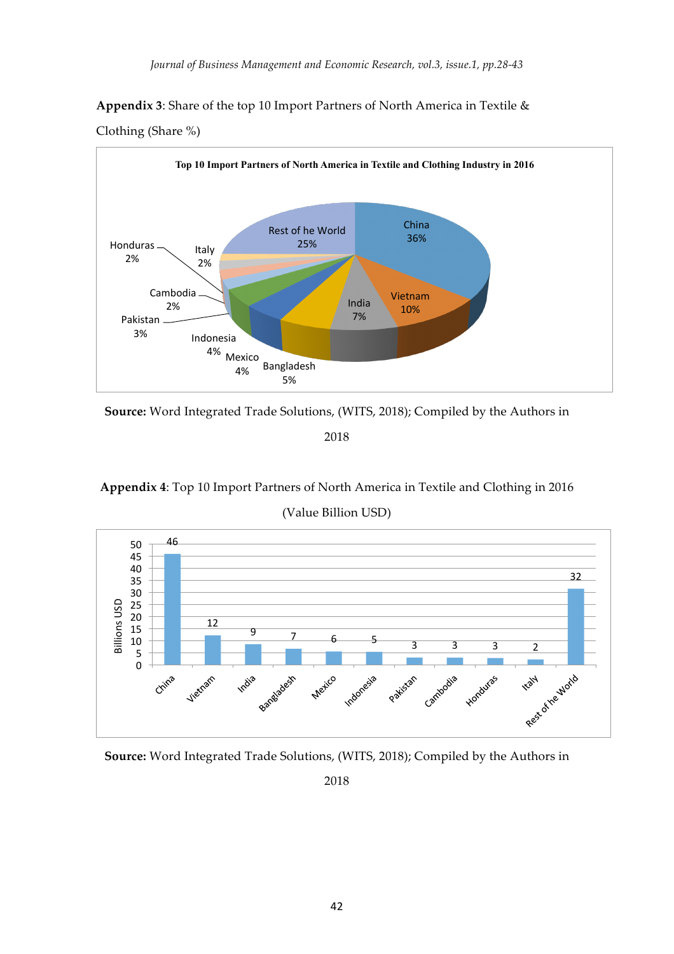**Appendix 3**: Share of the top 10 Import Partners of North America in Textile &



Clothing (Share %)

**Source:** Word Integrated Trade Solutions, (WITS, 2018); Compiled by the Authors in

2018

**Appendix 4**: Top 10 Import Partners of North America in Textile and Clothing in 2016

(Value Billion USD)



**Source:** Word Integrated Trade Solutions, (WITS, 2018); Compiled by the Authors in

2018